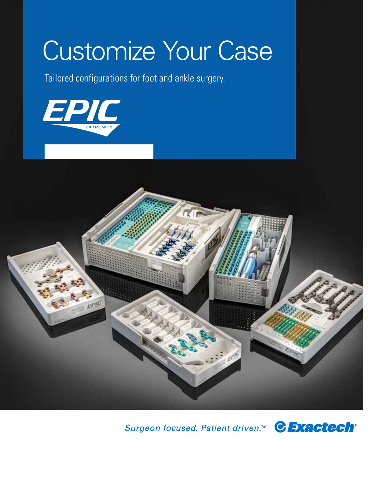# Customize Your Case

Tailored configurations for foot and ankle surgery.





Surgeon focused. Patient driven.<sup>™</sup> CExactech<sup>®</sup>